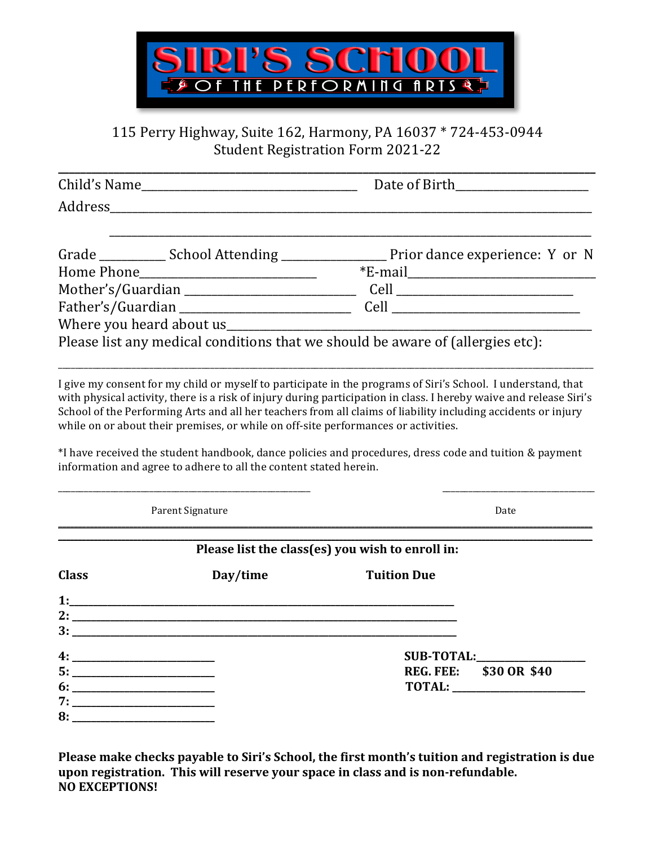

115 Perry Highway, Suite 162, Harmony, PA 16037 \* 724-453-0944 Student Registration Form 2021-22

| Child's Name                                                                                                                                                                                                                     | Date of Birth_________________ |  |  |
|----------------------------------------------------------------------------------------------------------------------------------------------------------------------------------------------------------------------------------|--------------------------------|--|--|
|                                                                                                                                                                                                                                  |                                |  |  |
|                                                                                                                                                                                                                                  |                                |  |  |
|                                                                                                                                                                                                                                  |                                |  |  |
|                                                                                                                                                                                                                                  |                                |  |  |
|                                                                                                                                                                                                                                  |                                |  |  |
| Where you heard about us<br>and the summary contract with the set of the set of the set of the set of the set of the set of the set of the set of the set of the set of the set of the set of the set of the set of the set of t |                                |  |  |
| Please list any medical conditions that we should be aware of (allergies etc):                                                                                                                                                   |                                |  |  |

I give my consent for my child or myself to participate in the programs of Siri's School. I understand, that with physical activity, there is a risk of injury during participation in class. I hereby waive and release Siri's School of the Performing Arts and all her teachers from all claims of liability including accidents or injury while on or about their premises, or while on off-site performances or activities.

\_\_\_\_\_\_\_\_\_\_\_\_\_\_\_\_\_\_\_\_\_\_\_\_\_\_\_\_\_\_\_\_\_\_\_\_\_\_\_\_\_\_\_\_\_\_\_\_\_\_\_\_\_\_\_\_\_\_\_\_\_\_\_\_\_\_\_\_\_\_\_\_\_\_\_\_\_\_\_\_\_\_\_\_\_\_\_\_\_\_\_\_\_\_\_\_\_\_\_\_\_\_\_\_\_\_\_\_\_\_\_\_\_\_\_\_\_\_\_\_\_\_\_

\*I have received the student handbook, dance policies and procedures, dress code and tuition & payment information and agree to adhere to all the content stated herein.

\_\_\_\_\_\_\_\_\_\_\_\_\_\_\_\_\_\_\_\_\_\_\_\_\_\_\_\_\_\_\_\_\_\_\_\_\_\_\_\_\_\_\_\_\_\_\_\_\_\_\_\_\_\_\_\_\_\_ \_\_\_\_\_\_\_\_\_\_\_\_\_\_\_\_\_\_\_\_\_\_\_\_\_\_\_\_\_\_\_\_\_\_\_

|                                                  | Parent Signature |                    | Date                   |  |  |  |
|--------------------------------------------------|------------------|--------------------|------------------------|--|--|--|
| Please list the class(es) you wish to enroll in: |                  |                    |                        |  |  |  |
| <b>Class</b>                                     | Day/time         | <b>Tuition Due</b> |                        |  |  |  |
| 1:                                               |                  |                    |                        |  |  |  |
|                                                  |                  |                    |                        |  |  |  |
| 3:                                               |                  |                    |                        |  |  |  |
|                                                  |                  | <b>SUB-TOTAL:</b>  |                        |  |  |  |
|                                                  |                  |                    | REG. FEE: \$30 OR \$40 |  |  |  |
| 6: __________________________                    |                  |                    |                        |  |  |  |
| 7: ______________________________                |                  |                    |                        |  |  |  |
| 8:                                               |                  |                    |                        |  |  |  |

**Please make checks payable to Siri's School, the first month's tuition and registration is due** upon registration. This will reserve your space in class and is non-refundable. **NO EXCEPTIONS!**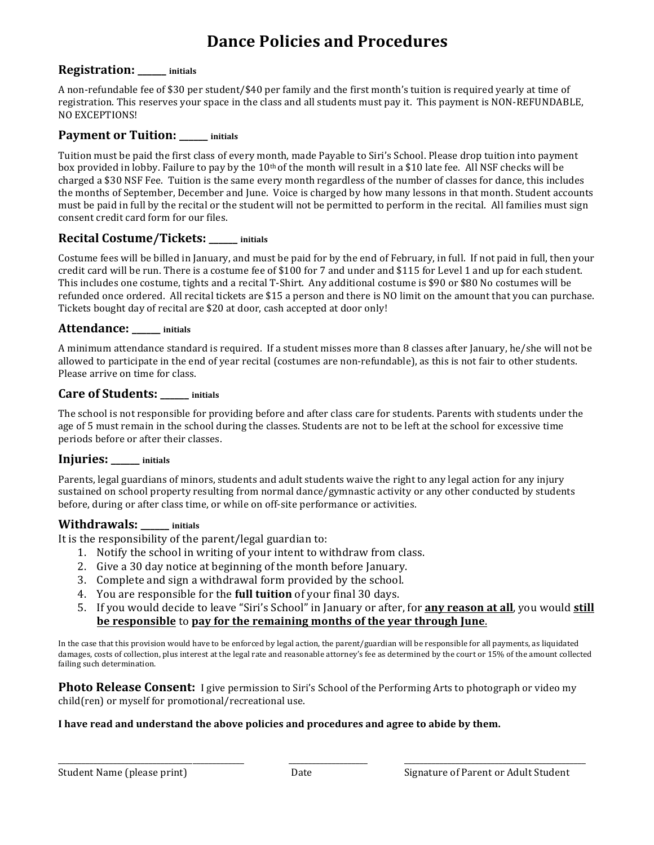# **Dance Policies and Procedures**

#### **Registration:** \_\_\_\_\_ initials

A non-refundable fee of \$30 per student/\$40 per family and the first month's tuition is required yearly at time of registration. This reserves your space in the class and all students must pay it. This payment is NON-REFUNDABLE, NO EXCEPTIONS!

# **Payment or Tuition:** *Leasininials*

Tuition must be paid the first class of every month, made Payable to Siri's School. Please drop tuition into payment box provided in lobby. Failure to pay by the 10<sup>th</sup> of the month will result in a \$10 late fee. All NSF checks will be charged a \$30 NSF Fee. Tuition is the same every month regardless of the number of classes for dance, this includes the months of September, December and June. Voice is charged by how many lessons in that month. Student accounts must be paid in full by the recital or the student will not be permitted to perform in the recital. All families must sign consent credit card form for our files.

### **Recital Costume/Tickets: \_\_\_\_\_\_ initials**

Costume fees will be billed in January, and must be paid for by the end of February, in full. If not paid in full, then your credit card will be run. There is a costume fee of \$100 for 7 and under and \$115 for Level 1 and up for each student. This includes one costume, tights and a recital T-Shirt. Any additional costume is \$90 or \$80 No costumes will be refunded once ordered. All recital tickets are \$15 a person and there is NO limit on the amount that you can purchase. Tickets bought day of recital are \$20 at door, cash accepted at door only!

#### Attendance: *Leage initials*

A minimum attendance standard is required. If a student misses more than 8 classes after January, he/she will not be allowed to participate in the end of year recital (costumes are non-refundable), as this is not fair to other students. Please arrive on time for class.

## **Care of Students:** *Learre of Students:*

The school is not responsible for providing before and after class care for students. Parents with students under the age of 5 must remain in the school during the classes. Students are not to be left at the school for excessive time periods before or after their classes.

# **Injuries:** *initials*

Parents, legal guardians of minors, students and adult students waive the right to any legal action for any injury sustained on school property resulting from normal dance/gymnastic activity or any other conducted by students before, during or after class time, or while on off-site performance or activities.

#### **Withdrawals:** \_\_\_\_\_ initials

It is the responsibility of the parent/legal guardian to:

- 1. Notify the school in writing of your intent to withdraw from class.
- 2. Give a 30 day notice at beginning of the month before January.
- 3. Complete and sign a withdrawal form provided by the school.
- 4. You are responsible for the **full tuition** of your final 30 days.
- 5. If you would decide to leave "Siri's School" in January or after, for **any reason at all**, you would **still be responsible** to pay for the remaining months of the year through June.

In the case that this provision would have to be enforced by legal action, the parent/guardian will be responsible for all payments, as liquidated damages, costs of collection, plus interest at the legal rate and reasonable attorney's fee as determined by the court or 15% of the amount collected failing such determination.

**Photo Release Consent:** I give permission to Siri's School of the Performing Arts to photograph or video my  $child$ (ren) or myself for promotional/recreational use.

\_\_\_\_\_\_\_\_\_\_\_\_\_\_\_\_\_\_\_\_\_\_\_\_\_\_\_\_\_\_\_\_\_\_\_\_\_\_\_\_\_\_\_\_\_\_\_ \_\_\_\_\_\_\_\_\_\_\_\_\_\_\_\_\_\_\_\_ \_\_\_\_\_\_\_\_\_\_\_\_\_\_\_\_\_\_\_\_\_\_\_\_\_\_\_\_\_\_\_\_\_\_\_\_\_\_\_\_\_\_\_\_\_\_

#### I have read and understand the above policies and procedures and agree to abide by them.